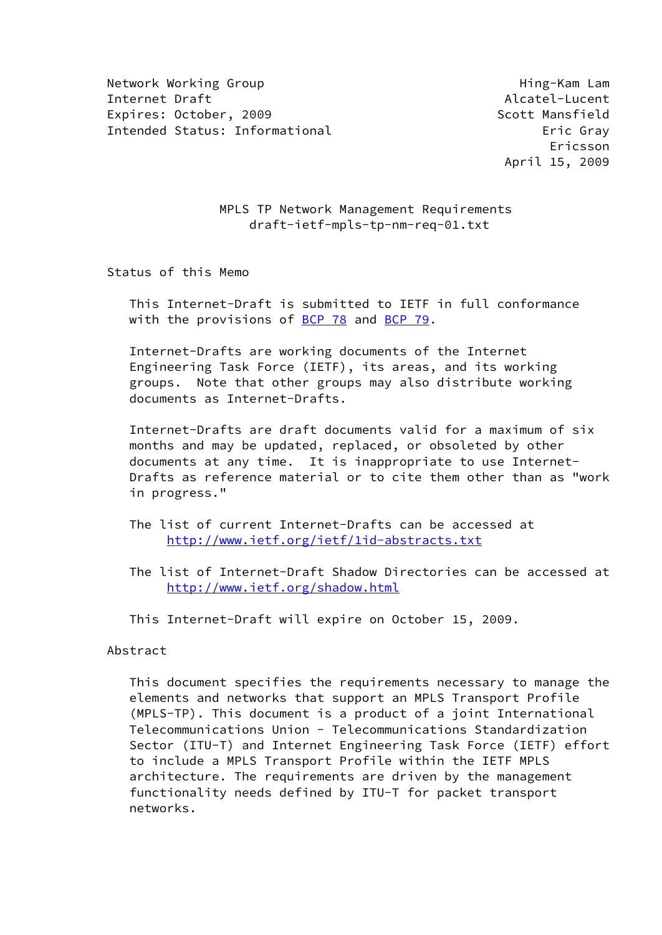Network Working Group Network Working Hing-Kam Lam Internet Draft Alcatel-Lucent Alcatel-Lucent Expires: October, 2009 Scott Mansfield Intended Status: Informational example and the example of the Eric Gray

 Ericsson April 15, 2009

> MPLS TP Network Management Requirements draft-ietf-mpls-tp-nm-req-01.txt

Status of this Memo

 This Internet-Draft is submitted to IETF in full conformance with the provisions of [BCP 78](https://datatracker.ietf.org/doc/pdf/bcp78) and [BCP 79](https://datatracker.ietf.org/doc/pdf/bcp79).

 Internet-Drafts are working documents of the Internet Engineering Task Force (IETF), its areas, and its working groups. Note that other groups may also distribute working documents as Internet-Drafts.

 Internet-Drafts are draft documents valid for a maximum of six months and may be updated, replaced, or obsoleted by other documents at any time. It is inappropriate to use Internet- Drafts as reference material or to cite them other than as "work in progress."

- The list of current Internet-Drafts can be accessed at <http://www.ietf.org/ietf/1id-abstracts.txt>
- The list of Internet-Draft Shadow Directories can be accessed at <http://www.ietf.org/shadow.html>

This Internet-Draft will expire on October 15, 2009.

Abstract

 This document specifies the requirements necessary to manage the elements and networks that support an MPLS Transport Profile (MPLS-TP). This document is a product of a joint International Telecommunications Union - Telecommunications Standardization Sector (ITU-T) and Internet Engineering Task Force (IETF) effort to include a MPLS Transport Profile within the IETF MPLS architecture. The requirements are driven by the management functionality needs defined by ITU-T for packet transport networks.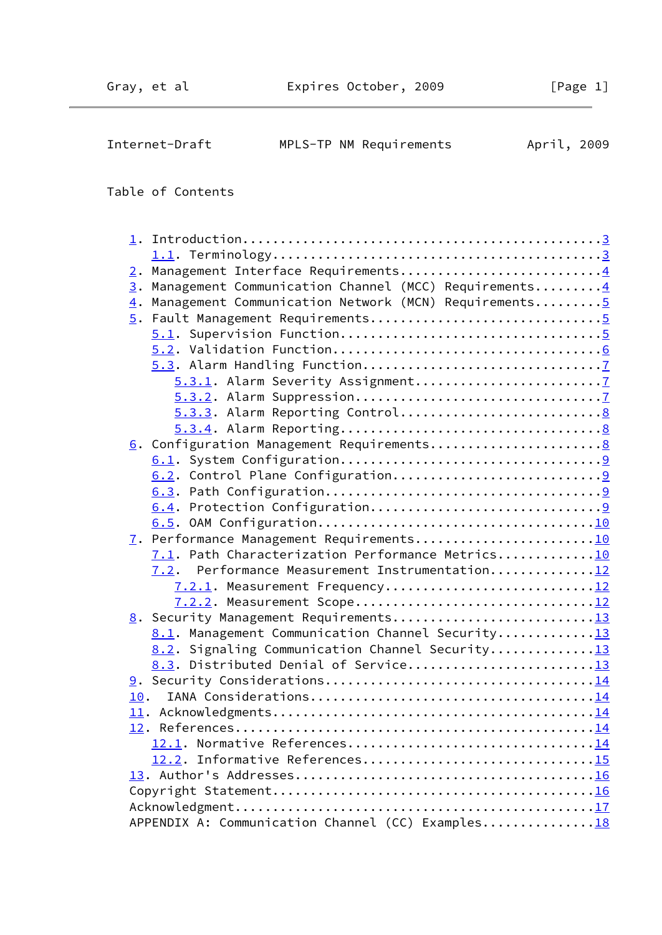| Internet-Draft | MPLS-TP NM Requirements | April, 2009 |
|----------------|-------------------------|-------------|
|----------------|-------------------------|-------------|

# Table of Contents

| 2. Management Interface Requirements4                   |
|---------------------------------------------------------|
| 3. Management Communication Channel (MCC) Requirements4 |
| 4. Management Communication Network (MCN) Requirements5 |
|                                                         |
|                                                         |
|                                                         |
|                                                         |
|                                                         |
|                                                         |
|                                                         |
|                                                         |
|                                                         |
|                                                         |
|                                                         |
|                                                         |
|                                                         |
|                                                         |
| 7. Performance Management Requirements10                |
| 7.1. Path Characterization Performance Metrics10        |
| Performance Measurement Instrumentation12<br>7.2.       |
| 7.2.1. Measurement Frequency12                          |
| 7.2.2. Measurement Scope12                              |
| 8. Security Management Requirements13                   |
| 8.1. Management Communication Channel Security13        |
| 8.2. Signaling Communication Channel Security13         |
| 8.3. Distributed Denial of Service13                    |
|                                                         |
| 10.                                                     |
|                                                         |
|                                                         |
|                                                         |
| 12.2. Informative References15                          |
|                                                         |
|                                                         |
|                                                         |
| APPENDIX A: Communication Channel (CC) Examples18       |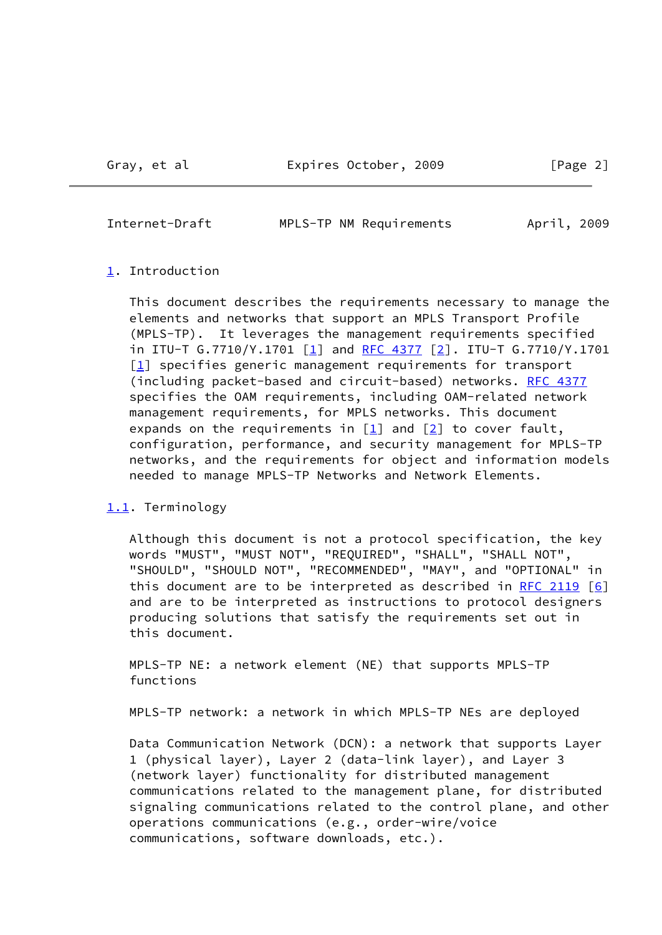<span id="page-2-1"></span>

| Internet-Draft | MPLS-TP NM Requirements | April, 2009 |  |
|----------------|-------------------------|-------------|--|
|                |                         |             |  |

#### <span id="page-2-0"></span>[1.](#page-2-0) Introduction

 This document describes the requirements necessary to manage the elements and networks that support an MPLS Transport Profile (MPLS-TP). It leverages the management requirements specified in ITU-T  $G.7710/Y.1701$  [\[1](#page-15-3)] and [RFC 4377](https://datatracker.ietf.org/doc/pdf/rfc4377) [\[2\]](#page-15-4). ITU-T  $G.7710/Y.1701$ [\[1\]](#page-15-3) specifies generic management requirements for transport (including packet-based and circuit-based) networks. [RFC 4377](https://datatracker.ietf.org/doc/pdf/rfc4377) specifies the OAM requirements, including OAM-related network management requirements, for MPLS networks. This document expands on the requirements in  $\boxed{1}$  and  $\boxed{2}$  to cover fault, configuration, performance, and security management for MPLS-TP networks, and the requirements for object and information models needed to manage MPLS-TP Networks and Network Elements.

## <span id="page-2-2"></span>[1.1](#page-2-2). Terminology

 Although this document is not a protocol specification, the key words "MUST", "MUST NOT", "REQUIRED", "SHALL", "SHALL NOT", "SHOULD", "SHOULD NOT", "RECOMMENDED", "MAY", and "OPTIONAL" in this document are to be interpreted as described in [RFC 2119](https://datatracker.ietf.org/doc/pdf/rfc2119)  $[6]$  $[6]$  and are to be interpreted as instructions to protocol designers producing solutions that satisfy the requirements set out in this document.

 MPLS-TP NE: a network element (NE) that supports MPLS-TP functions

MPLS-TP network: a network in which MPLS-TP NEs are deployed

 Data Communication Network (DCN): a network that supports Layer 1 (physical layer), Layer 2 (data-link layer), and Layer 3 (network layer) functionality for distributed management communications related to the management plane, for distributed signaling communications related to the control plane, and other operations communications (e.g., order-wire/voice communications, software downloads, etc.).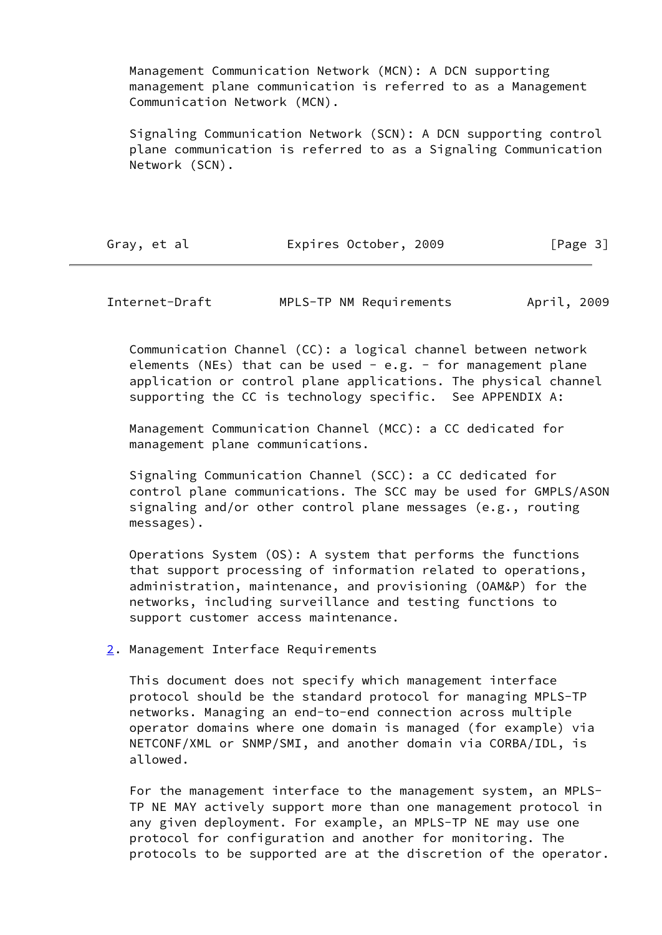Management Communication Network (MCN): A DCN supporting management plane communication is referred to as a Management Communication Network (MCN).

 Signaling Communication Network (SCN): A DCN supporting control plane communication is referred to as a Signaling Communication Network (SCN).

<span id="page-3-1"></span>

| Gray, et al | Expires October, 2009 | [Page 3] |
|-------------|-----------------------|----------|
|-------------|-----------------------|----------|

Internet-Draft MPLS-TP NM Requirements April, 2009

 Communication Channel (CC): a logical channel between network elements (NEs) that can be used  $-$  e.g.  $-$  for management plane application or control plane applications. The physical channel supporting the CC is technology specific. See APPENDIX A:

 Management Communication Channel (MCC): a CC dedicated for management plane communications.

 Signaling Communication Channel (SCC): a CC dedicated for control plane communications. The SCC may be used for GMPLS/ASON signaling and/or other control plane messages (e.g., routing messages).

 Operations System (OS): A system that performs the functions that support processing of information related to operations, administration, maintenance, and provisioning (OAM&P) for the networks, including surveillance and testing functions to support customer access maintenance.

<span id="page-3-0"></span>[2.](#page-3-0) Management Interface Requirements

 This document does not specify which management interface protocol should be the standard protocol for managing MPLS-TP networks. Managing an end-to-end connection across multiple operator domains where one domain is managed (for example) via NETCONF/XML or SNMP/SMI, and another domain via CORBA/IDL, is allowed.

 For the management interface to the management system, an MPLS- TP NE MAY actively support more than one management protocol in any given deployment. For example, an MPLS-TP NE may use one protocol for configuration and another for monitoring. The protocols to be supported are at the discretion of the operator.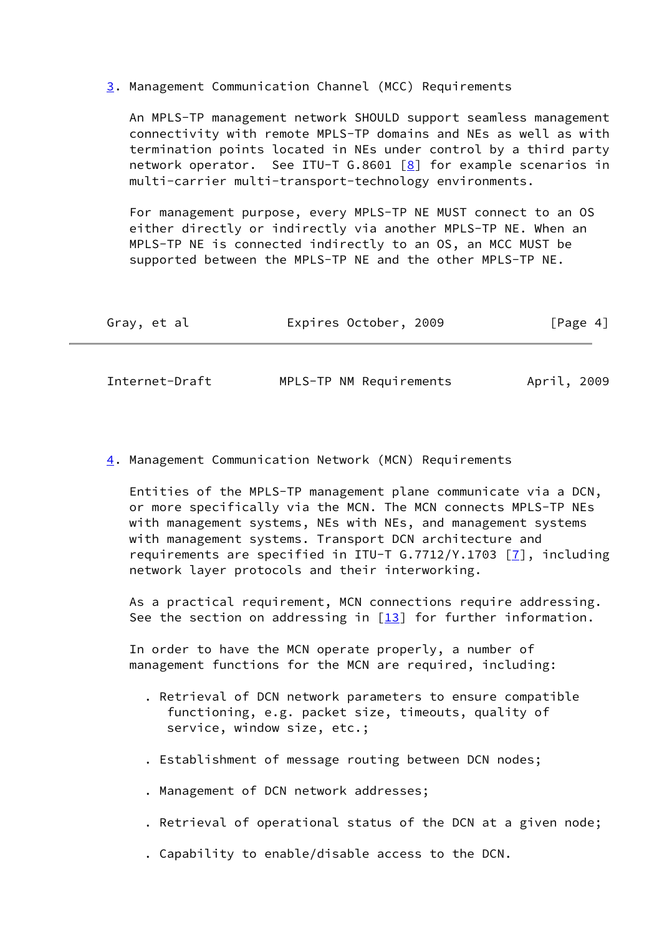<span id="page-4-0"></span>[3.](#page-4-0) Management Communication Channel (MCC) Requirements

 An MPLS-TP management network SHOULD support seamless management connectivity with remote MPLS-TP domains and NEs as well as with termination points located in NEs under control by a third party network operator. See ITU-T G.8601  $[8]$  for example scenarios in multi-carrier multi-transport-technology environments.

 For management purpose, every MPLS-TP NE MUST connect to an OS either directly or indirectly via another MPLS-TP NE. When an MPLS-TP NE is connected indirectly to an OS, an MCC MUST be supported between the MPLS-TP NE and the other MPLS-TP NE.

<span id="page-4-2"></span>

| Gray, et al    | Expires October, 2009   | [Page 4]    |
|----------------|-------------------------|-------------|
|                |                         |             |
| Internet-Draft | MPLS-TP NM Requirements | April, 2009 |

<span id="page-4-1"></span>[4.](#page-4-1) Management Communication Network (MCN) Requirements

 Entities of the MPLS-TP management plane communicate via a DCN, or more specifically via the MCN. The MCN connects MPLS-TP NEs with management systems, NEs with NEs, and management systems with management systems. Transport DCN architecture and requirements are specified in ITU-T  $G.7712/Y.1703$  [\[7](#page-15-7)], including network layer protocols and their interworking.

 As a practical requirement, MCN connections require addressing. See the section on addressing in  $[13]$  $[13]$  for further information.

 In order to have the MCN operate properly, a number of management functions for the MCN are required, including:

- . Retrieval of DCN network parameters to ensure compatible functioning, e.g. packet size, timeouts, quality of service, window size, etc.;
- . Establishment of message routing between DCN nodes;
- . Management of DCN network addresses;
- . Retrieval of operational status of the DCN at a given node;
- . Capability to enable/disable access to the DCN.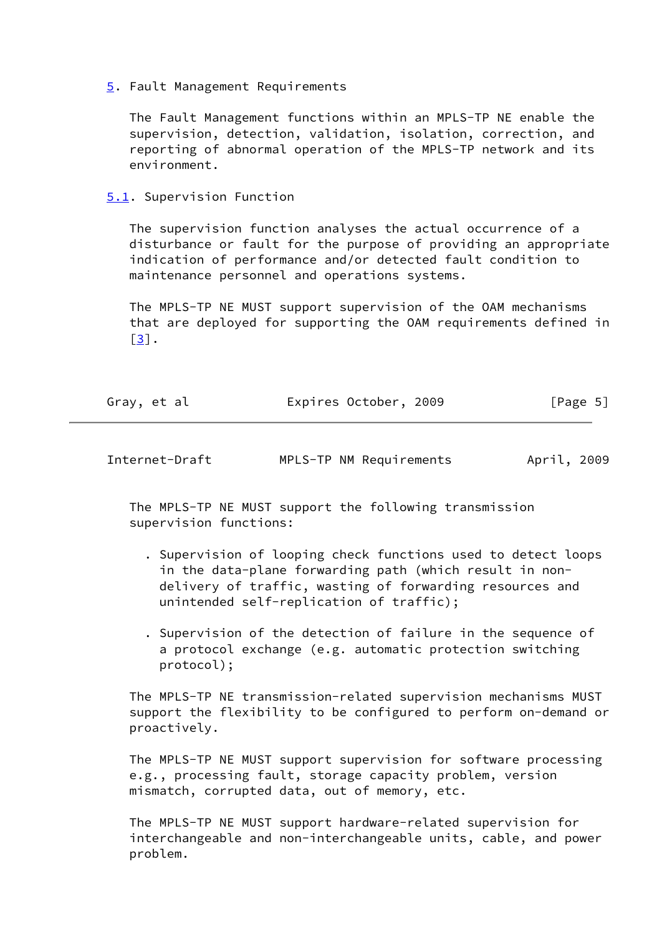<span id="page-5-0"></span>[5.](#page-5-0) Fault Management Requirements

 The Fault Management functions within an MPLS-TP NE enable the supervision, detection, validation, isolation, correction, and reporting of abnormal operation of the MPLS-TP network and its environment.

<span id="page-5-1"></span>[5.1](#page-5-1). Supervision Function

 The supervision function analyses the actual occurrence of a disturbance or fault for the purpose of providing an appropriate indication of performance and/or detected fault condition to maintenance personnel and operations systems.

 The MPLS-TP NE MUST support supervision of the OAM mechanisms that are deployed for supporting the OAM requirements defined in  $\lceil 3 \rceil$ .

| Gray, et al | Expires October, 2009 | [Page 5] |
|-------------|-----------------------|----------|
|             |                       |          |

<span id="page-5-2"></span>

| Internet-Draft | MPLS-TP NM Requirements | April, 2009 |
|----------------|-------------------------|-------------|
|----------------|-------------------------|-------------|

 The MPLS-TP NE MUST support the following transmission supervision functions:

- . Supervision of looping check functions used to detect loops in the data-plane forwarding path (which result in non delivery of traffic, wasting of forwarding resources and unintended self-replication of traffic);
- . Supervision of the detection of failure in the sequence of a protocol exchange (e.g. automatic protection switching protocol);

 The MPLS-TP NE transmission-related supervision mechanisms MUST support the flexibility to be configured to perform on-demand or proactively.

 The MPLS-TP NE MUST support supervision for software processing e.g., processing fault, storage capacity problem, version mismatch, corrupted data, out of memory, etc.

 The MPLS-TP NE MUST support hardware-related supervision for interchangeable and non-interchangeable units, cable, and power problem.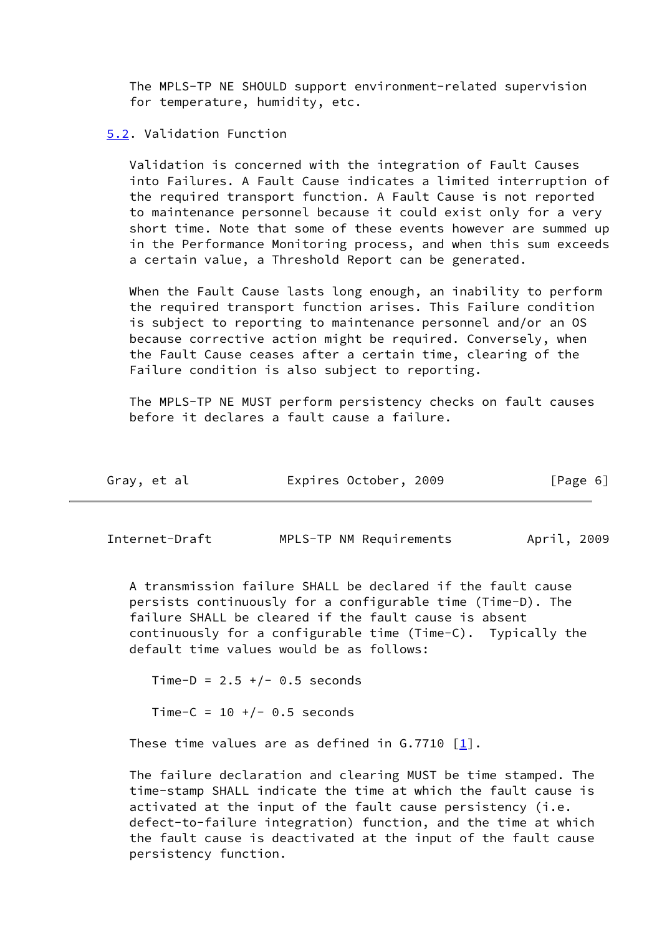The MPLS-TP NE SHOULD support environment-related supervision for temperature, humidity, etc.

## <span id="page-6-0"></span>[5.2](#page-6-0). Validation Function

 Validation is concerned with the integration of Fault Causes into Failures. A Fault Cause indicates a limited interruption of the required transport function. A Fault Cause is not reported to maintenance personnel because it could exist only for a very short time. Note that some of these events however are summed up in the Performance Monitoring process, and when this sum exceeds a certain value, a Threshold Report can be generated.

 When the Fault Cause lasts long enough, an inability to perform the required transport function arises. This Failure condition is subject to reporting to maintenance personnel and/or an OS because corrective action might be required. Conversely, when the Fault Cause ceases after a certain time, clearing of the Failure condition is also subject to reporting.

 The MPLS-TP NE MUST perform persistency checks on fault causes before it declares a fault cause a failure.

<span id="page-6-1"></span>

| Gray, et al | Expires October, 2009 | [Page 6] |
|-------------|-----------------------|----------|
|-------------|-----------------------|----------|

Internet-Draft MPLS-TP NM Requirements April, 2009

 A transmission failure SHALL be declared if the fault cause persists continuously for a configurable time (Time-D). The failure SHALL be cleared if the fault cause is absent continuously for a configurable time (Time-C). Typically the default time values would be as follows:

Time-D =  $2.5 +/- 0.5$  seconds Time-C =  $10 +/- 0.5$  seconds

These time values are as defined in  $G.7710$  [\[1](#page-15-3)].

 The failure declaration and clearing MUST be time stamped. The time-stamp SHALL indicate the time at which the fault cause is activated at the input of the fault cause persistency (i.e. defect-to-failure integration) function, and the time at which the fault cause is deactivated at the input of the fault cause persistency function.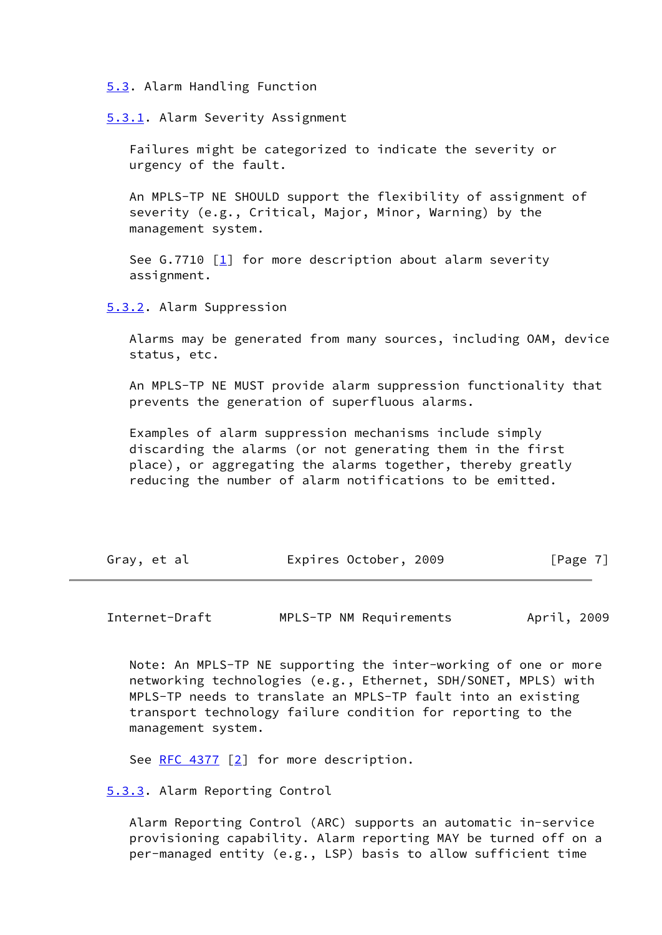<span id="page-7-0"></span>[5.3](#page-7-0). Alarm Handling Function

<span id="page-7-1"></span>[5.3.1.](#page-7-1) Alarm Severity Assignment

 Failures might be categorized to indicate the severity or urgency of the fault.

 An MPLS-TP NE SHOULD support the flexibility of assignment of severity (e.g., Critical, Major, Minor, Warning) by the management system.

See G.7710  $[1]$  $[1]$  for more description about alarm severity assignment.

<span id="page-7-2"></span>[5.3.2.](#page-7-2) Alarm Suppression

 Alarms may be generated from many sources, including OAM, device status, etc.

 An MPLS-TP NE MUST provide alarm suppression functionality that prevents the generation of superfluous alarms.

 Examples of alarm suppression mechanisms include simply discarding the alarms (or not generating them in the first place), or aggregating the alarms together, thereby greatly reducing the number of alarm notifications to be emitted.

<span id="page-7-4"></span>

| Gray, et al | Expires October, 2009 | [Page 7] |
|-------------|-----------------------|----------|
|             |                       |          |

Internet-Draft MPLS-TP NM Requirements April, 2009

 Note: An MPLS-TP NE supporting the inter-working of one or more networking technologies (e.g., Ethernet, SDH/SONET, MPLS) with MPLS-TP needs to translate an MPLS-TP fault into an existing transport technology failure condition for reporting to the management system.

See [RFC 4377](https://datatracker.ietf.org/doc/pdf/rfc4377) [[2\]](#page-15-4) for more description.

<span id="page-7-3"></span>[5.3.3.](#page-7-3) Alarm Reporting Control

 Alarm Reporting Control (ARC) supports an automatic in-service provisioning capability. Alarm reporting MAY be turned off on a per-managed entity (e.g., LSP) basis to allow sufficient time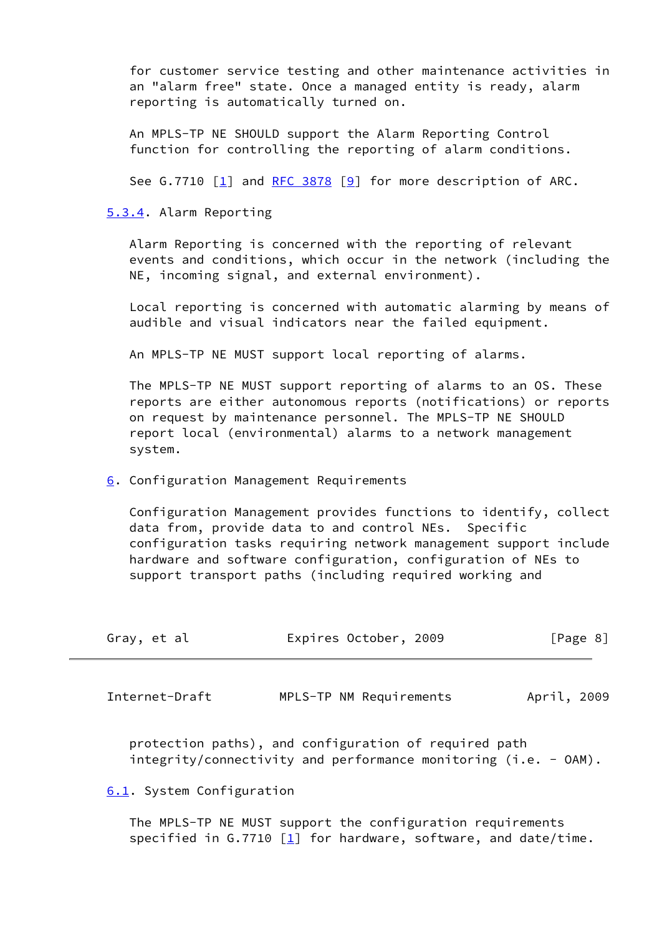for customer service testing and other maintenance activities in an "alarm free" state. Once a managed entity is ready, alarm reporting is automatically turned on.

 An MPLS-TP NE SHOULD support the Alarm Reporting Control function for controlling the reporting of alarm conditions.

See G.7710 [\[1](#page-15-3)] and [RFC 3878](https://datatracker.ietf.org/doc/pdf/rfc3878) [\[9\]](#page-15-9) for more description of ARC.

<span id="page-8-0"></span>[5.3.4.](#page-8-0) Alarm Reporting

 Alarm Reporting is concerned with the reporting of relevant events and conditions, which occur in the network (including the NE, incoming signal, and external environment).

 Local reporting is concerned with automatic alarming by means of audible and visual indicators near the failed equipment.

An MPLS-TP NE MUST support local reporting of alarms.

 The MPLS-TP NE MUST support reporting of alarms to an OS. These reports are either autonomous reports (notifications) or reports on request by maintenance personnel. The MPLS-TP NE SHOULD report local (environmental) alarms to a network management system.

#### <span id="page-8-1"></span>[6.](#page-8-1) Configuration Management Requirements

 Configuration Management provides functions to identify, collect data from, provide data to and control NEs. Specific configuration tasks requiring network management support include hardware and software configuration, configuration of NEs to support transport paths (including required working and

<span id="page-8-3"></span>

| Gray, et al    | Expires October, 2009   | [Page 8]    |
|----------------|-------------------------|-------------|
| Internet-Draft | MPLS-TP NM Requirements | April, 2009 |

 protection paths), and configuration of required path integrity/connectivity and performance monitoring (i.e. - OAM).

#### <span id="page-8-2"></span>[6.1](#page-8-2). System Configuration

 The MPLS-TP NE MUST support the configuration requirements specified in G.7710  $[1]$  for hardware, software, and date/time.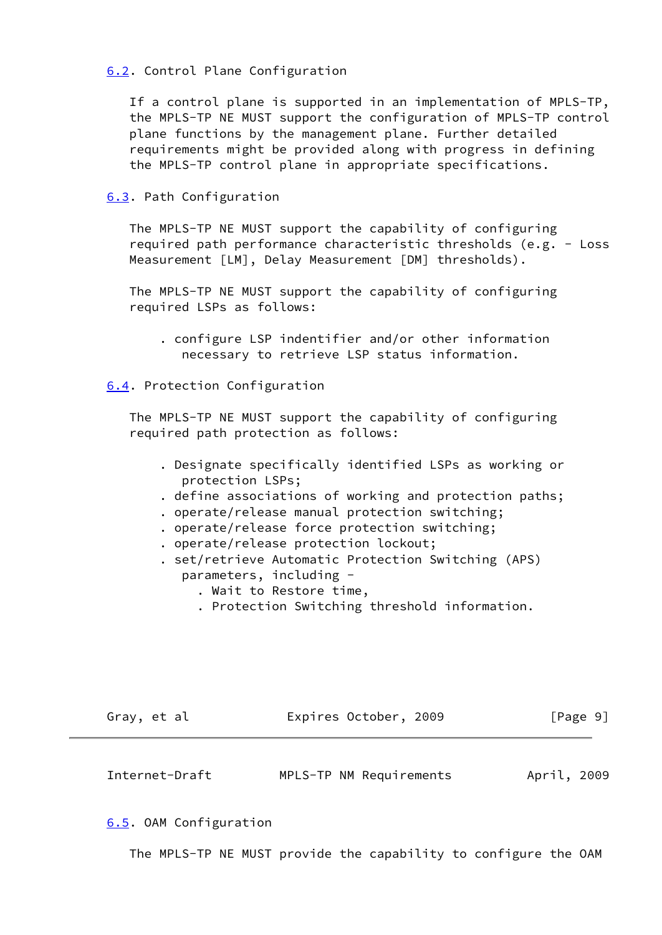<span id="page-9-0"></span>[6.2](#page-9-0). Control Plane Configuration

 If a control plane is supported in an implementation of MPLS-TP, the MPLS-TP NE MUST support the configuration of MPLS-TP control plane functions by the management plane. Further detailed requirements might be provided along with progress in defining the MPLS-TP control plane in appropriate specifications.

<span id="page-9-1"></span>[6.3](#page-9-1). Path Configuration

 The MPLS-TP NE MUST support the capability of configuring required path performance characteristic thresholds (e.g. - Loss Measurement [LM], Delay Measurement [DM] thresholds).

 The MPLS-TP NE MUST support the capability of configuring required LSPs as follows:

 . configure LSP indentifier and/or other information necessary to retrieve LSP status information.

<span id="page-9-2"></span>[6.4](#page-9-2). Protection Configuration

 The MPLS-TP NE MUST support the capability of configuring required path protection as follows:

- . Designate specifically identified LSPs as working or protection LSPs;
- . define associations of working and protection paths;
- . operate/release manual protection switching;
- . operate/release force protection switching;
- . operate/release protection lockout;
- . set/retrieve Automatic Protection Switching (APS) parameters, including -
	- . Wait to Restore time,
	- . Protection Switching threshold information.

<span id="page-9-4"></span>

| Gray, et al    | Expires October, 2009   | [Page 9]    |
|----------------|-------------------------|-------------|
| Internet-Draft | MPLS-TP NM Requirements | April, 2009 |

<span id="page-9-3"></span>[6.5](#page-9-3). OAM Configuration

The MPLS-TP NE MUST provide the capability to configure the OAM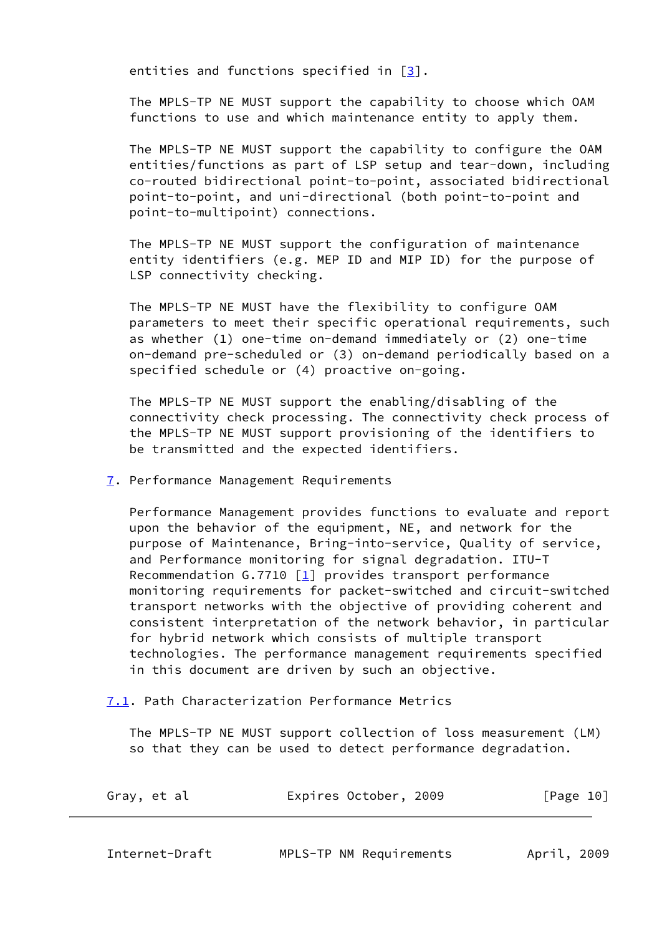entities and functions specified in  $\lceil 3 \rceil$ .

 The MPLS-TP NE MUST support the capability to choose which OAM functions to use and which maintenance entity to apply them.

 The MPLS-TP NE MUST support the capability to configure the OAM entities/functions as part of LSP setup and tear-down, including co-routed bidirectional point-to-point, associated bidirectional point-to-point, and uni-directional (both point-to-point and point-to-multipoint) connections.

 The MPLS-TP NE MUST support the configuration of maintenance entity identifiers (e.g. MEP ID and MIP ID) for the purpose of LSP connectivity checking.

 The MPLS-TP NE MUST have the flexibility to configure OAM parameters to meet their specific operational requirements, such as whether (1) one-time on-demand immediately or (2) one-time on-demand pre-scheduled or (3) on-demand periodically based on a specified schedule or (4) proactive on-going.

 The MPLS-TP NE MUST support the enabling/disabling of the connectivity check processing. The connectivity check process of the MPLS-TP NE MUST support provisioning of the identifiers to be transmitted and the expected identifiers.

<span id="page-10-0"></span>[7.](#page-10-0) Performance Management Requirements

 Performance Management provides functions to evaluate and report upon the behavior of the equipment, NE, and network for the purpose of Maintenance, Bring-into-service, Quality of service, and Performance monitoring for signal degradation. ITU-T Recommendation G.7710  $\boxed{1}$  provides transport performance monitoring requirements for packet-switched and circuit-switched transport networks with the objective of providing coherent and consistent interpretation of the network behavior, in particular for hybrid network which consists of multiple transport technologies. The performance management requirements specified in this document are driven by such an objective.

<span id="page-10-1"></span>[7.1](#page-10-1). Path Characterization Performance Metrics

 The MPLS-TP NE MUST support collection of loss measurement (LM) so that they can be used to detect performance degradation.

| Gray, et al | Expires October, 2009 | [Page 10] |
|-------------|-----------------------|-----------|
|             |                       |           |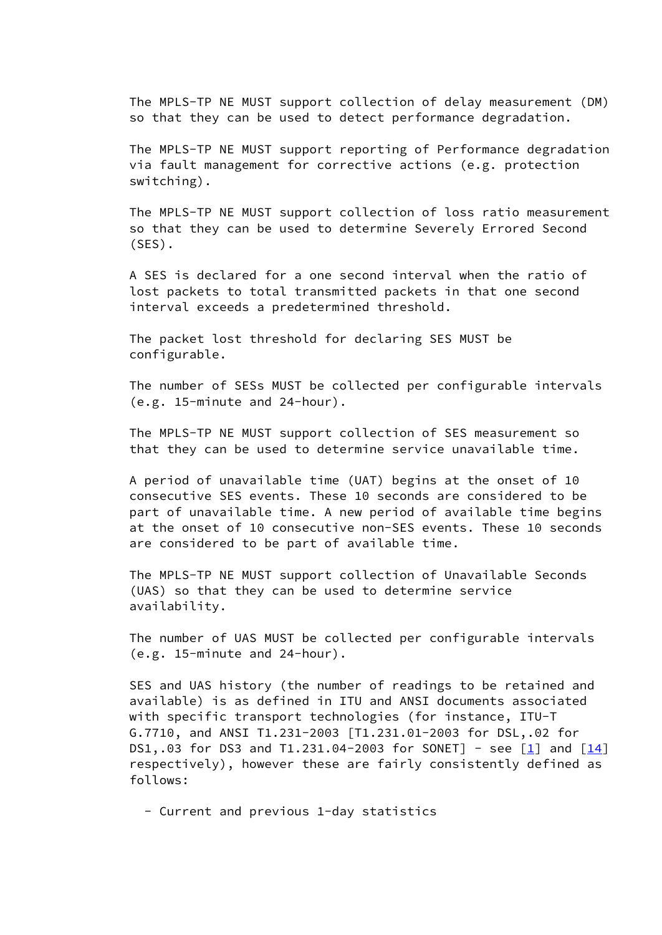The MPLS-TP NE MUST support collection of delay measurement (DM) so that they can be used to detect performance degradation.

 The MPLS-TP NE MUST support reporting of Performance degradation via fault management for corrective actions (e.g. protection switching).

 The MPLS-TP NE MUST support collection of loss ratio measurement so that they can be used to determine Severely Errored Second (SES).

 A SES is declared for a one second interval when the ratio of lost packets to total transmitted packets in that one second interval exceeds a predetermined threshold.

 The packet lost threshold for declaring SES MUST be configurable.

 The number of SESs MUST be collected per configurable intervals (e.g. 15-minute and 24-hour).

 The MPLS-TP NE MUST support collection of SES measurement so that they can be used to determine service unavailable time.

 A period of unavailable time (UAT) begins at the onset of 10 consecutive SES events. These 10 seconds are considered to be part of unavailable time. A new period of available time begins at the onset of 10 consecutive non-SES events. These 10 seconds are considered to be part of available time.

 The MPLS-TP NE MUST support collection of Unavailable Seconds (UAS) so that they can be used to determine service availability.

 The number of UAS MUST be collected per configurable intervals (e.g. 15-minute and 24-hour).

 SES and UAS history (the number of readings to be retained and available) is as defined in ITU and ANSI documents associated with specific transport technologies (for instance, ITU-T G.7710, and ANSI T1.231-2003 [T1.231.01-2003 for DSL,.02 for DS1,.03 for DS3 and T1.231.04-2003 for SONET] - see  $[1]$  and  $[14]$  respectively), however these are fairly consistently defined as follows:

- Current and previous 1-day statistics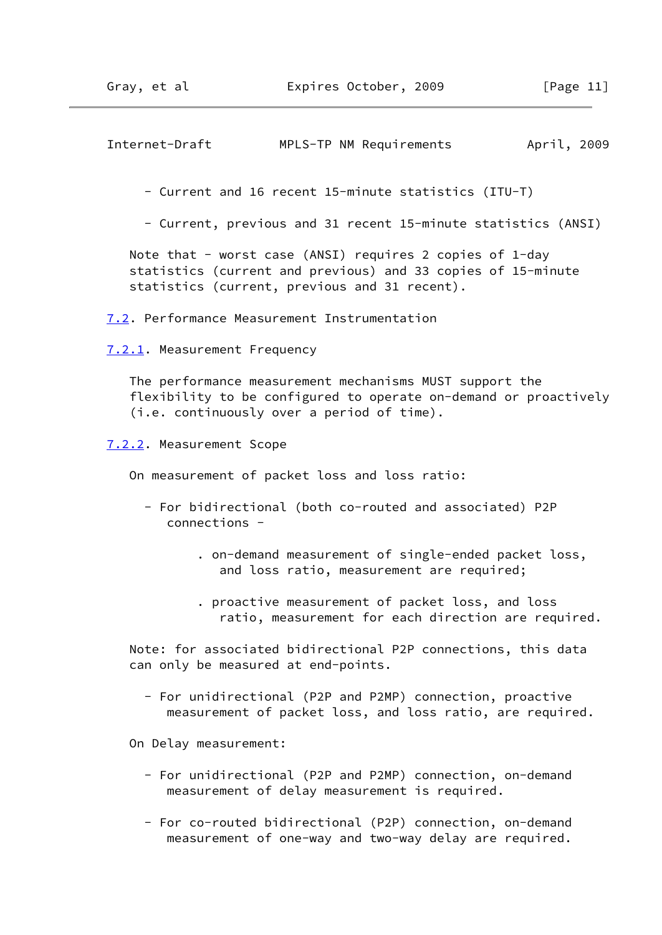<span id="page-12-1"></span>Internet-Draft MPLS-TP NM Requirements April, 2009

- Current and 16 recent 15-minute statistics (ITU-T)

- Current, previous and 31 recent 15-minute statistics (ANSI)

 Note that - worst case (ANSI) requires 2 copies of 1-day statistics (current and previous) and 33 copies of 15-minute statistics (current, previous and 31 recent).

<span id="page-12-0"></span>[7.2](#page-12-0). Performance Measurement Instrumentation

<span id="page-12-2"></span>[7.2.1.](#page-12-2) Measurement Frequency

 The performance measurement mechanisms MUST support the flexibility to be configured to operate on-demand or proactively (i.e. continuously over a period of time).

<span id="page-12-3"></span>[7.2.2.](#page-12-3) Measurement Scope

On measurement of packet loss and loss ratio:

- For bidirectional (both co-routed and associated) P2P connections -
	- . on-demand measurement of single-ended packet loss, and loss ratio, measurement are required;
	- . proactive measurement of packet loss, and loss ratio, measurement for each direction are required.

 Note: for associated bidirectional P2P connections, this data can only be measured at end-points.

 - For unidirectional (P2P and P2MP) connection, proactive measurement of packet loss, and loss ratio, are required.

On Delay measurement:

- For unidirectional (P2P and P2MP) connection, on-demand measurement of delay measurement is required.
- For co-routed bidirectional (P2P) connection, on-demand measurement of one-way and two-way delay are required.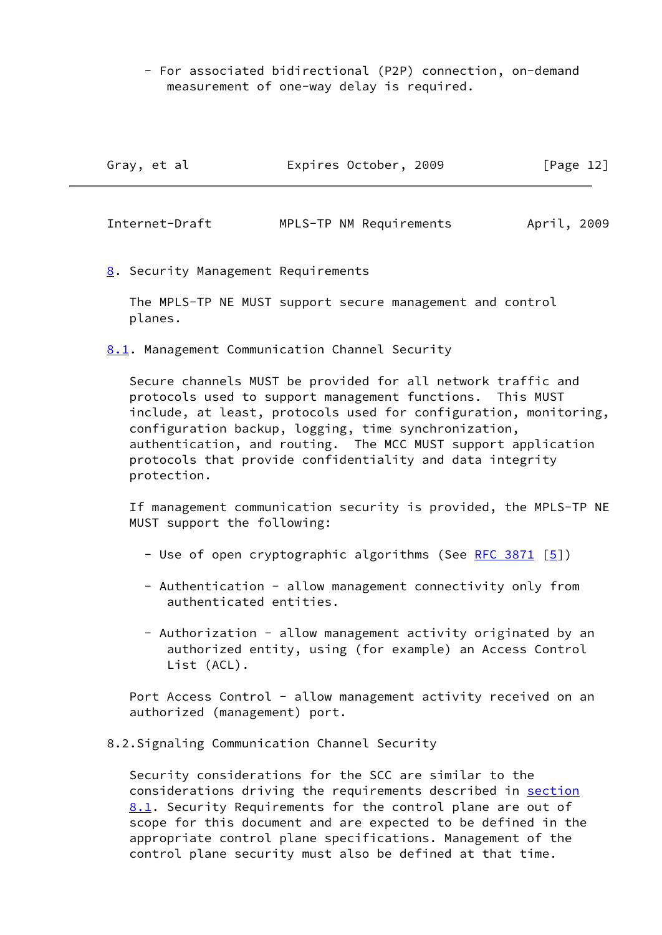- For associated bidirectional (P2P) connection, on-demand measurement of one-way delay is required.

<span id="page-13-1"></span>

| Gray, et al    | Expires October, 2009   | [Page 12]   |
|----------------|-------------------------|-------------|
| Internet-Draft | MPLS-TP NM Requirements | April, 2009 |

<span id="page-13-0"></span>[8.](#page-13-0) Security Management Requirements

 The MPLS-TP NE MUST support secure management and control planes.

<span id="page-13-2"></span>[8.1](#page-13-2). Management Communication Channel Security

 Secure channels MUST be provided for all network traffic and protocols used to support management functions. This MUST include, at least, protocols used for configuration, monitoring, configuration backup, logging, time synchronization, authentication, and routing. The MCC MUST support application protocols that provide confidentiality and data integrity protection.

 If management communication security is provided, the MPLS-TP NE MUST support the following:

- Use of open cryptographic algorithms (See <u>RFC 3871</u> [<u>5</u>])
- Authentication allow management connectivity only from authenticated entities.
- Authorization allow management activity originated by an authorized entity, using (for example) an Access Control List (ACL).

Port Access Control - allow management activity received on an authorized (management) port.

## 8.2.Signaling Communication Channel Security

 Security considerations for the SCC are similar to the considerations driving the requirements described in [section](#page-13-2) [8.1](#page-13-2). Security Requirements for the control plane are out of scope for this document and are expected to be defined in the appropriate control plane specifications. Management of the control plane security must also be defined at that time.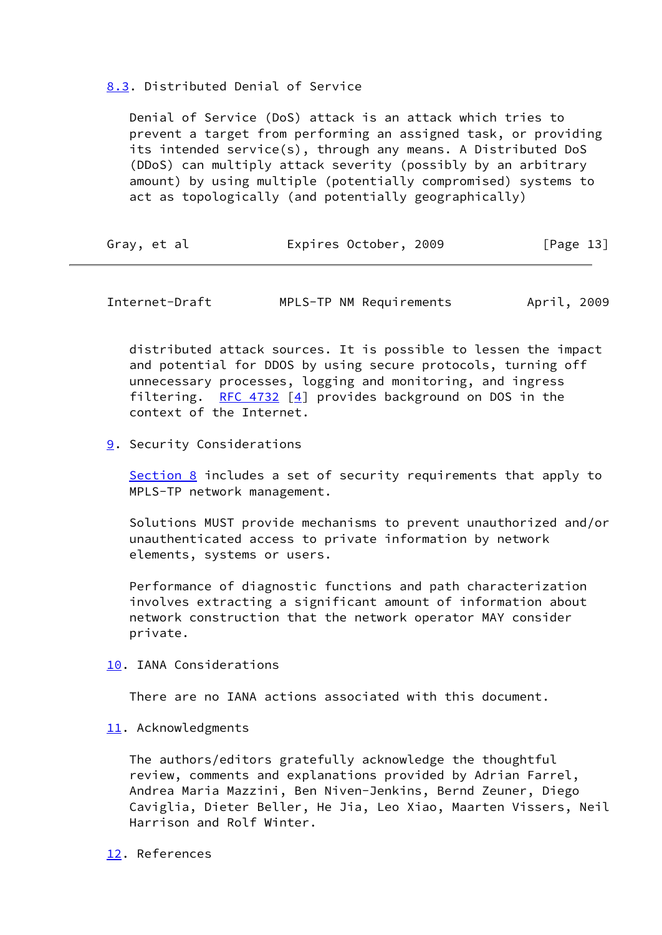## <span id="page-14-0"></span>[8.3](#page-14-0). Distributed Denial of Service

 Denial of Service (DoS) attack is an attack which tries to prevent a target from performing an assigned task, or providing its intended service(s), through any means. A Distributed DoS (DDoS) can multiply attack severity (possibly by an arbitrary amount) by using multiple (potentially compromised) systems to act as topologically (and potentially geographically)

<span id="page-14-2"></span>

| Gray, et al | Expires October, 2009 | [Page 13] |
|-------------|-----------------------|-----------|
|-------------|-----------------------|-----------|

Internet-Draft MPLS-TP NM Requirements April, 2009

 distributed attack sources. It is possible to lessen the impact and potential for DDOS by using secure protocols, turning off unnecessary processes, logging and monitoring, and ingress filtering. [RFC 4732](https://datatracker.ietf.org/doc/pdf/rfc4732)  $[4]$  $[4]$  provides background on DOS in the context of the Internet.

#### <span id="page-14-1"></span>[9.](#page-14-1) Security Considerations

 [Section 8](#page-13-0) includes a set of security requirements that apply to MPLS-TP network management.

 Solutions MUST provide mechanisms to prevent unauthorized and/or unauthenticated access to private information by network elements, systems or users.

 Performance of diagnostic functions and path characterization involves extracting a significant amount of information about network construction that the network operator MAY consider private.

<span id="page-14-3"></span>[10.](#page-14-3) IANA Considerations

There are no IANA actions associated with this document.

## <span id="page-14-4"></span>[11.](#page-14-4) Acknowledgments

 The authors/editors gratefully acknowledge the thoughtful review, comments and explanations provided by Adrian Farrel, Andrea Maria Mazzini, Ben Niven-Jenkins, Bernd Zeuner, Diego Caviglia, Dieter Beller, He Jia, Leo Xiao, Maarten Vissers, Neil Harrison and Rolf Winter.

## <span id="page-14-5"></span>[12.](#page-14-5) References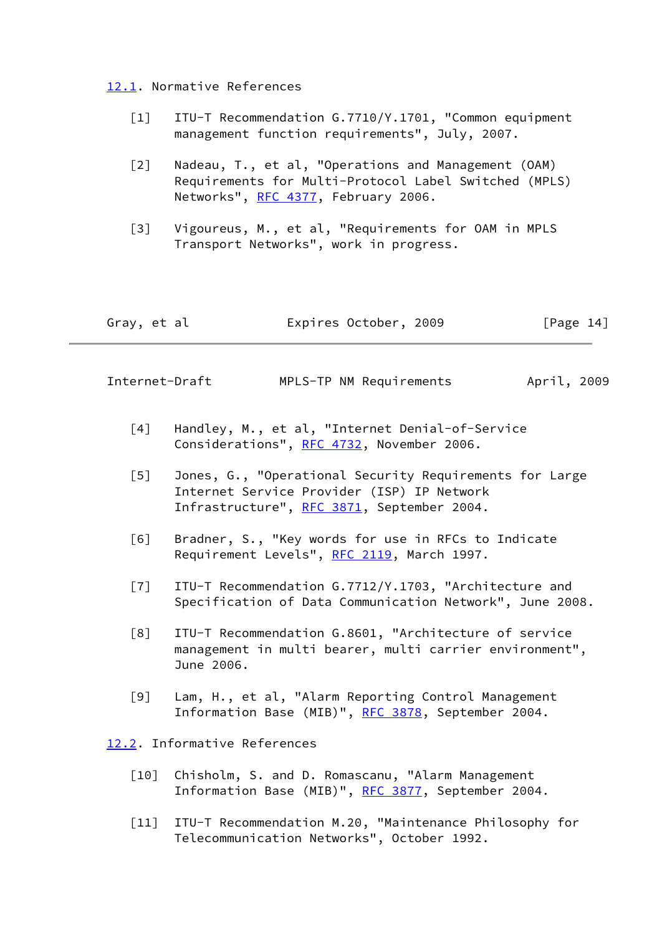<span id="page-15-0"></span>[12.1](#page-15-0). Normative References

- <span id="page-15-3"></span> [1] ITU-T Recommendation G.7710/Y.1701, "Common equipment management function requirements", July, 2007.
- <span id="page-15-4"></span> [2] Nadeau, T., et al, "Operations and Management (OAM) Requirements for Multi-Protocol Label Switched (MPLS) Networks", [RFC 4377](https://datatracker.ietf.org/doc/pdf/rfc4377), February 2006.
- <span id="page-15-8"></span> [3] Vigoureus, M., et al, "Requirements for OAM in MPLS Transport Networks", work in progress.

<span id="page-15-2"></span>

Internet-Draft MPLS-TP NM Requirements April, 2009

- <span id="page-15-11"></span>[4] Handley, M., et al, "Internet Denial-of-Service Considerations", [RFC 4732,](https://datatracker.ietf.org/doc/pdf/rfc4732) November 2006.
- <span id="page-15-10"></span> [5] Jones, G., "Operational Security Requirements for Large Internet Service Provider (ISP) IP Network Infrastructure", [RFC 3871,](https://datatracker.ietf.org/doc/pdf/rfc3871) September 2004.
- <span id="page-15-5"></span> [6] Bradner, S., "Key words for use in RFCs to Indicate Requirement Levels", [RFC 2119](https://datatracker.ietf.org/doc/pdf/rfc2119), March 1997.
- <span id="page-15-7"></span> [7] ITU-T Recommendation G.7712/Y.1703, "Architecture and Specification of Data Communication Network", June 2008.
- <span id="page-15-6"></span> [8] ITU-T Recommendation G.8601, "Architecture of service management in multi bearer, multi carrier environment", June 2006.
- <span id="page-15-9"></span> [9] Lam, H., et al, "Alarm Reporting Control Management Information Base (MIB)", [RFC 3878,](https://datatracker.ietf.org/doc/pdf/rfc3878) September 2004.

<span id="page-15-1"></span>[12.2](#page-15-1). Informative References

- <span id="page-15-12"></span>[10] Chisholm, S. and D. Romascanu, "Alarm Management Information Base (MIB)", [RFC 3877,](https://datatracker.ietf.org/doc/pdf/rfc3877) September 2004.
- <span id="page-15-13"></span> [11] ITU-T Recommendation M.20, "Maintenance Philosophy for Telecommunication Networks", October 1992.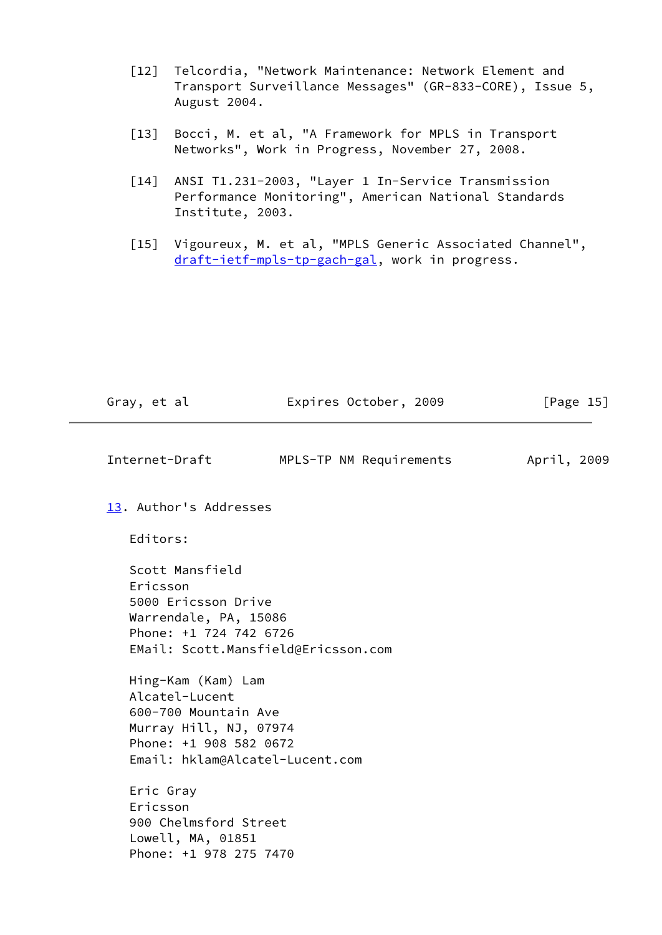- <span id="page-16-5"></span> [12] Telcordia, "Network Maintenance: Network Element and Transport Surveillance Messages" (GR-833-CORE), Issue 5, August 2004.
- <span id="page-16-2"></span> [13] Bocci, M. et al, "A Framework for MPLS in Transport Networks", Work in Progress, November 27, 2008.
- <span id="page-16-3"></span> [14] ANSI T1.231-2003, "Layer 1 In-Service Transmission Performance Monitoring", American National Standards Institute, 2003.
- <span id="page-16-4"></span> [15] Vigoureux, M. et al, "MPLS Generic Associated Channel", [draft-ietf-mpls-tp-gach-gal](https://datatracker.ietf.org/doc/pdf/draft-ietf-mpls-tp-gach-gal), work in progress.

<span id="page-16-1"></span>

| Gray, et al | Expires October, 2009 | [Page 15] |
|-------------|-----------------------|-----------|
|             |                       |           |

- Internet-Draft MPLS-TP NM Requirements April, 2009
- <span id="page-16-0"></span> [13.](#page-16-0) Author's Addresses
	- Editors:

 Scott Mansfield Ericsson 5000 Ericsson Drive Warrendale, PA, 15086 Phone: +1 724 742 6726 EMail: Scott.Mansfield@Ericsson.com

 Hing-Kam (Kam) Lam Alcatel-Lucent 600-700 Mountain Ave Murray Hill, NJ, 07974 Phone: +1 908 582 0672 Email: hklam@Alcatel-Lucent.com

 Eric Gray Ericsson 900 Chelmsford Street Lowell, MA, 01851 Phone: +1 978 275 7470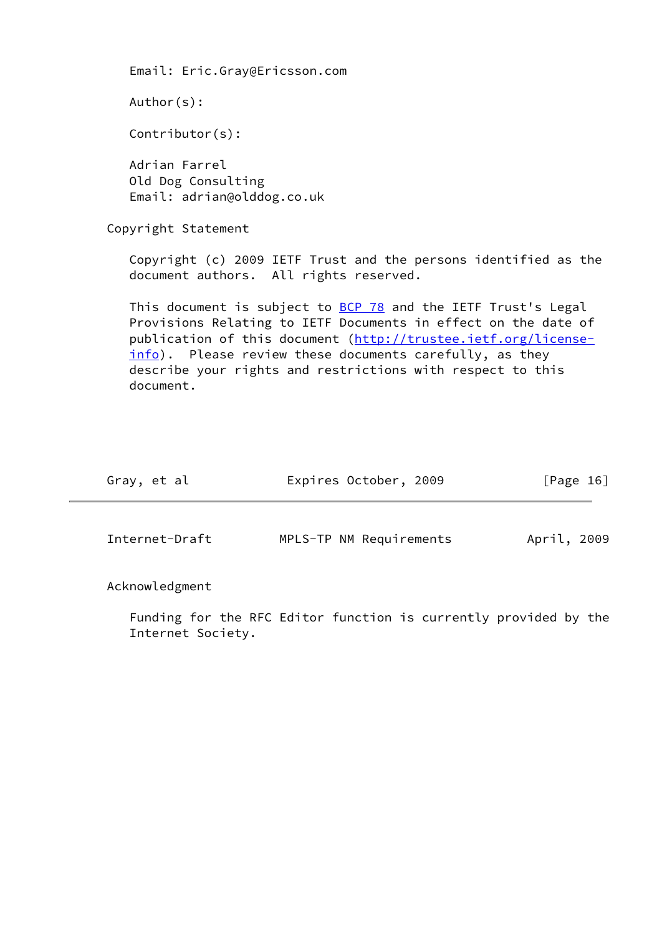Email: Eric.Gray@Ericsson.com Author(s): Contributor(s): Adrian Farrel Old Dog Consulting Email: adrian@olddog.co.uk Copyright Statement Copyright (c) 2009 IETF Trust and the persons identified as the document authors. All rights reserved. This document is subject to **BCP 78** and the IETF Trust's Legal Provisions Relating to IETF Documents in effect on the date of publication of this document ([http://trustee.ietf.org/license](http://trustee.ietf.org/license-info) [info](http://trustee.ietf.org/license-info)). Please review these documents carefully, as they describe your rights and restrictions with respect to this document.

<span id="page-17-0"></span>

| Gray, et al    | Expires October, 2009   | [Page 16]   |
|----------------|-------------------------|-------------|
| Internet-Draft | MPLS-TP NM Requirements | April, 2009 |

Acknowledgment

 Funding for the RFC Editor function is currently provided by the Internet Society.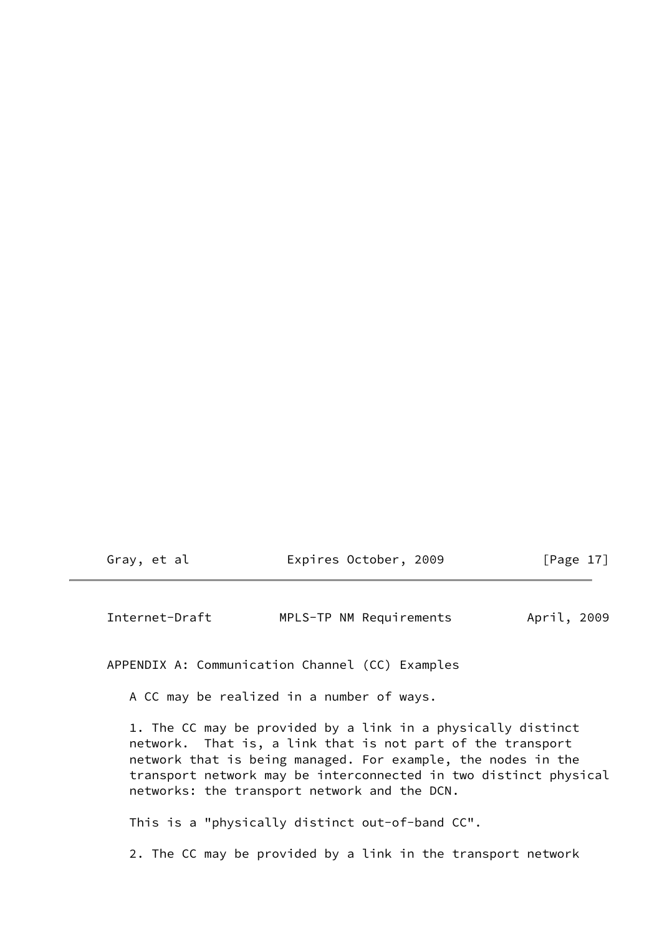<span id="page-18-0"></span>

|  | Gray, et al | Expires October, 2009 | [Page $17$ ] |
|--|-------------|-----------------------|--------------|
|--|-------------|-----------------------|--------------|

Internet-Draft MPLS-TP NM Requirements April, 2009

APPENDIX A: Communication Channel (CC) Examples

A CC may be realized in a number of ways.

 1. The CC may be provided by a link in a physically distinct network. That is, a link that is not part of the transport network that is being managed. For example, the nodes in the transport network may be interconnected in two distinct physical networks: the transport network and the DCN.

This is a "physically distinct out-of-band CC".

2. The CC may be provided by a link in the transport network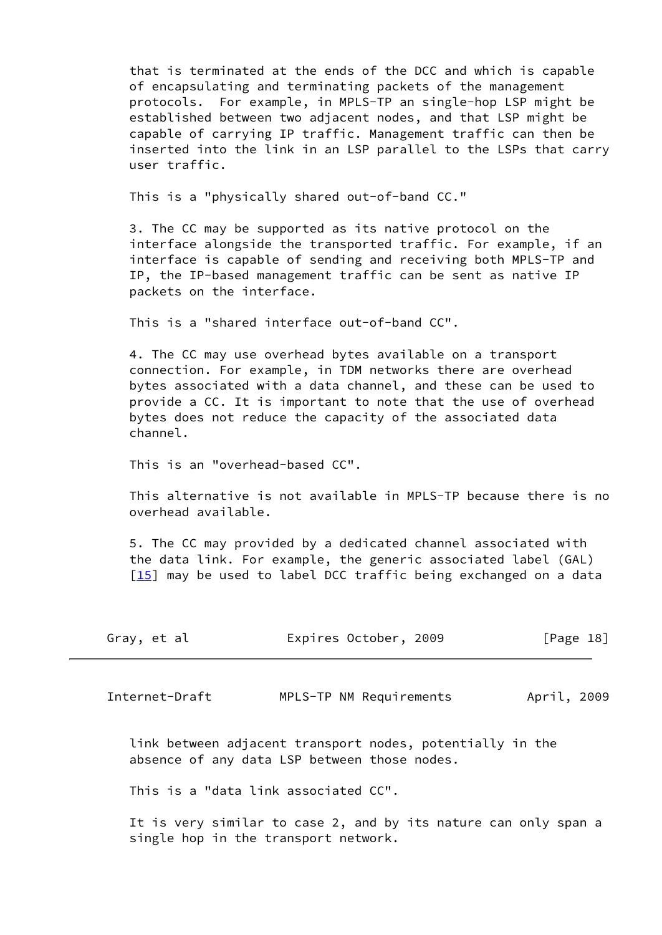that is terminated at the ends of the DCC and which is capable of encapsulating and terminating packets of the management protocols. For example, in MPLS-TP an single-hop LSP might be established between two adjacent nodes, and that LSP might be capable of carrying IP traffic. Management traffic can then be inserted into the link in an LSP parallel to the LSPs that carry user traffic.

This is a "physically shared out-of-band CC."

 3. The CC may be supported as its native protocol on the interface alongside the transported traffic. For example, if an interface is capable of sending and receiving both MPLS-TP and IP, the IP-based management traffic can be sent as native IP packets on the interface.

This is a "shared interface out-of-band CC".

 4. The CC may use overhead bytes available on a transport connection. For example, in TDM networks there are overhead bytes associated with a data channel, and these can be used to provide a CC. It is important to note that the use of overhead bytes does not reduce the capacity of the associated data channel.

This is an "overhead-based CC".

 This alternative is not available in MPLS-TP because there is no overhead available.

 5. The CC may provided by a dedicated channel associated with the data link. For example, the generic associated label (GAL)  $\lceil 15 \rceil$  may be used to label DCC traffic being exchanged on a data

| Gray, et al | Expires October, 2009 | [Page 18] |
|-------------|-----------------------|-----------|
|             |                       |           |

Internet-Draft MPLS-TP NM Requirements April, 2009

 link between adjacent transport nodes, potentially in the absence of any data LSP between those nodes.

This is a "data link associated CC".

 It is very similar to case 2, and by its nature can only span a single hop in the transport network.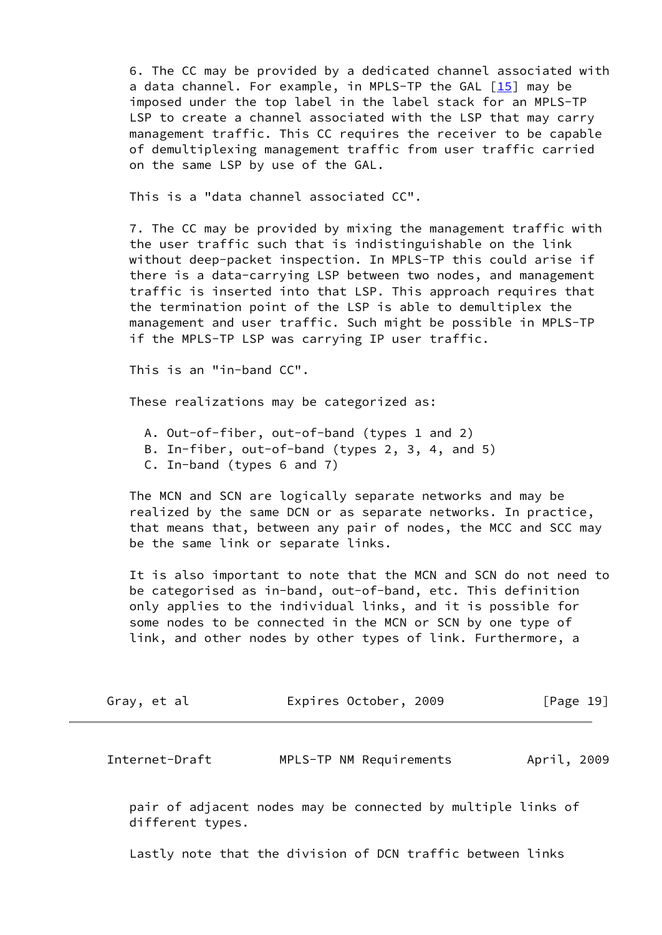6. The CC may be provided by a dedicated channel associated with a data channel. For example, in MPLS-TP the GAL  $[15]$  may be imposed under the top label in the label stack for an MPLS-TP LSP to create a channel associated with the LSP that may carry management traffic. This CC requires the receiver to be capable of demultiplexing management traffic from user traffic carried on the same LSP by use of the GAL.

This is a "data channel associated CC".

 7. The CC may be provided by mixing the management traffic with the user traffic such that is indistinguishable on the link without deep-packet inspection. In MPLS-TP this could arise if there is a data-carrying LSP between two nodes, and management traffic is inserted into that LSP. This approach requires that the termination point of the LSP is able to demultiplex the management and user traffic. Such might be possible in MPLS-TP if the MPLS-TP LSP was carrying IP user traffic.

This is an "in-band CC".

These realizations may be categorized as:

- A. Out-of-fiber, out-of-band (types 1 and 2)
- B. In-fiber, out-of-band (types 2, 3, 4, and 5)
- C. In-band (types 6 and 7)

 The MCN and SCN are logically separate networks and may be realized by the same DCN or as separate networks. In practice, that means that, between any pair of nodes, the MCC and SCC may be the same link or separate links.

 It is also important to note that the MCN and SCN do not need to be categorised as in-band, out-of-band, etc. This definition only applies to the individual links, and it is possible for some nodes to be connected in the MCN or SCN by one type of link, and other nodes by other types of link. Furthermore, a

| Gray, et al | Expires October, 2009 | [Page 19] |
|-------------|-----------------------|-----------|
|-------------|-----------------------|-----------|

Internet-Draft MPLS-TP NM Requirements April, 2009

 pair of adjacent nodes may be connected by multiple links of different types.

Lastly note that the division of DCN traffic between links